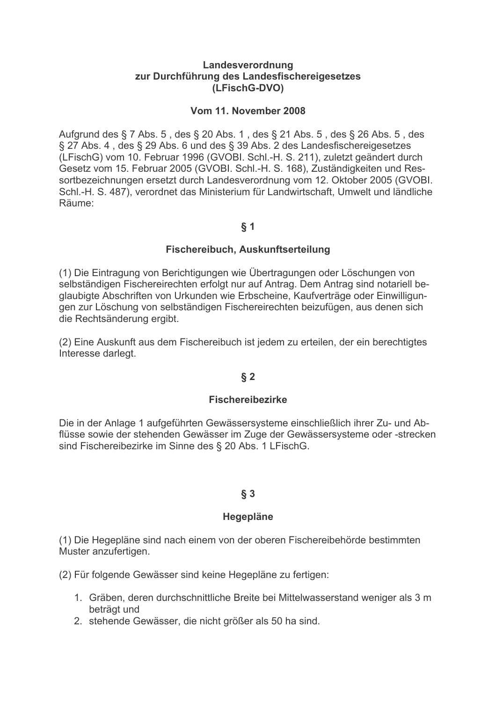#### Landesverordnung zur Durchführung des Landesfischereigesetzes (LFischG-DVO)

#### Vom 11. November 2008

Aufgrund des § 7 Abs. 5, des § 20 Abs. 1, des § 21 Abs. 5, des § 26 Abs. 5, des § 27 Abs. 4, des § 29 Abs. 6 und des § 39 Abs. 2 des Landesfischereigesetzes (LFischG) vom 10. Februar 1996 (GVOBI. Schl.-H. S. 211), zuletzt geändert durch Gesetz vom 15. Februar 2005 (GVOBI. Schl.-H. S. 168), Zuständigkeiten und Ressortbezeichnungen ersetzt durch Landesverordnung vom 12. Oktober 2005 (GVOBI. Schl.-H. S. 487), verordnet das Ministerium für Landwirtschaft, Umwelt und ländliche Räume:

#### $§ 1$

#### Fischereibuch, Auskunftserteilung

(1) Die Eintragung von Berichtigungen wie Übertragungen oder Löschungen von selbständigen Fischereirechten erfolgt nur auf Antrag. Dem Antrag sind notariell beglaubigte Abschriften von Urkunden wie Erbscheine, Kaufverträge oder Einwilligungen zur Löschung von selbständigen Fischereirechten beizufügen, aus denen sich die Rechtsänderung ergibt.

(2) Eine Auskunft aus dem Fischereibuch ist jedem zu erteilen, der ein berechtigtes Interesse darlegt.

## $\S 2$

## **Fischereibezirke**

Die in der Anlage 1 aufgeführten Gewässersysteme einschließlich ihrer Zu- und Abflüsse sowie der stehenden Gewässer im Zuge der Gewässersysteme oder -strecken sind Fischereibezirke im Sinne des § 20 Abs. 1 LFischG.

## $§ 3$

#### **Hegepläne**

(1) Die Hegepläne sind nach einem von der oberen Fischereibehörde bestimmten Muster anzufertigen.

(2) Für folgende Gewässer sind keine Hegepläne zu fertigen:

- 1. Gräben, deren durchschnittliche Breite bei Mittelwasserstand weniger als 3 m beträgt und
- 2. stehende Gewässer, die nicht größer als 50 ha sind.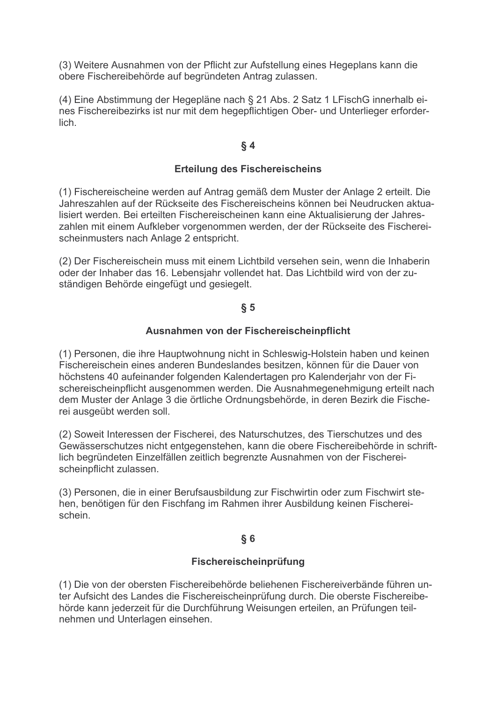(3) Weitere Ausnahmen von der Pflicht zur Aufstellung eines Hegeplans kann die obere Fischereibehörde auf begründeten Antrag zulassen.

(4) Eine Abstimmung der Hegepläne nach § 21 Abs. 2 Satz 1 LFischG innerhalb eines Fischereibezirks ist nur mit dem hegepflichtigen Ober- und Unterlieger erforderlich.

## $§4$

## **Erteilung des Fischereischeins**

(1) Fischereischeine werden auf Antrag gemäß dem Muster der Anlage 2 erteilt. Die Jahreszahlen auf der Rückseite des Fischereischeins können bei Neudrucken aktualisiert werden. Bei erteilten Fischereischeinen kann eine Aktualisierung der Jahreszahlen mit einem Aufkleber vorgenommen werden, der der Rückseite des Fischereischeinmusters nach Anlage 2 entspricht.

(2) Der Fischereischein muss mit einem Lichtbild versehen sein, wenn die Inhaberin oder der Inhaber das 16. Lebensjahr vollendet hat. Das Lichtbild wird von der zuständigen Behörde eingefügt und gesiegelt.

## $\S 5$

## Ausnahmen von der Fischereischeinpflicht

(1) Personen, die ihre Hauptwohnung nicht in Schleswig-Holstein haben und keinen Fischereischein eines anderen Bundeslandes besitzen, können für die Dauer von höchstens 40 aufeinander folgenden Kalendertagen pro Kalenderjahr von der Fischereischeinpflicht ausgenommen werden. Die Ausnahmegenehmigung erteilt nach dem Muster der Anlage 3 die örtliche Ordnungsbehörde, in deren Bezirk die Fischerei ausgeübt werden soll.

(2) Soweit Interessen der Fischerei, des Naturschutzes, des Tierschutzes und des Gewässerschutzes nicht entgegenstehen, kann die obere Fischereibehörde in schriftlich begründeten Einzelfällen zeitlich begrenzte Ausnahmen von der Fischereischeinpflicht zulassen.

(3) Personen, die in einer Berufsausbildung zur Fischwirtin oder zum Fischwirt stehen, benötigen für den Fischfang im Rahmen ihrer Ausbildung keinen Fischereischein

#### $\S 6$

## Fischereischeinprüfung

(1) Die von der obersten Fischereibehörde beliehenen Fischereiverbände führen unter Aufsicht des Landes die Fischereischeinprüfung durch. Die oberste Fischereibehörde kann jederzeit für die Durchführung Weisungen erteilen, an Prüfungen teilnehmen und Unterlagen einsehen.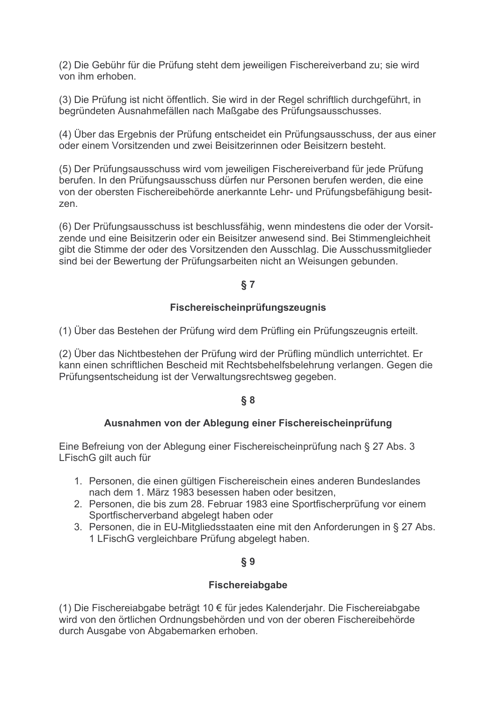(2) Die Gebühr für die Prüfung steht dem jeweiligen Fischereiverband zu; sie wird von ihm erhoben.

(3) Die Prüfung ist nicht öffentlich. Sie wird in der Regel schriftlich durchgeführt, in begründeten Ausnahmefällen nach Maßgabe des Prüfungsausschusses.

(4) Über das Ergebnis der Prüfung entscheidet ein Prüfungsausschuss, der aus einer oder einem Vorsitzenden und zwei Beisitzerinnen oder Beisitzern besteht.

(5) Der Prüfungsausschuss wird vom jeweiligen Fischereiverband für jede Prüfung berufen. In den Prüfungsausschuss dürfen nur Personen berufen werden, die eine von der obersten Fischereibehörde anerkannte Lehr- und Prüfungsbefähigung besitzen

(6) Der Prüfungsausschuss ist beschlussfähig, wenn mindestens die oder der Vorsitzende und eine Beisitzerin oder ein Beisitzer anwesend sind. Bei Stimmengleichheit gibt die Stimme der oder des Vorsitzenden den Ausschlag. Die Ausschussmitglieder sind bei der Bewertung der Prüfungsarbeiten nicht an Weisungen gebunden.

# $§ 7$

## Fischereischeinprüfungszeugnis

(1) Über das Bestehen der Prüfung wird dem Prüfling ein Prüfungszeugnis erteilt.

(2) Über das Nichtbestehen der Prüfung wird der Prüfling mündlich unterrichtet. Er kann einen schriftlichen Bescheid mit Rechtsbehelfsbelehrung verlangen. Gegen die Prüfungsentscheidung ist der Verwaltungsrechtsweg gegeben.

# $§ 8$

## Ausnahmen von der Ablegung einer Fischereischeinprüfung

Eine Befreiung von der Ablegung einer Fischereischeinprüfung nach § 27 Abs. 3 LFischG gilt auch für

- 1. Personen, die einen gültigen Fischereischein eines anderen Bundeslandes nach dem 1. März 1983 besessen haben oder besitzen.
- 2. Personen, die bis zum 28. Februar 1983 eine Sportfischerprüfung vor einem Sportfischerverband abgelegt haben oder
- 3. Personen, die in EU-Mitgliedsstaaten eine mit den Anforderungen in § 27 Abs. 1 LFischG vergleichbare Prüfung abgelegt haben.

# **δ9**

## Fischereiabgabe

(1) Die Fischereiabgabe beträgt 10 € für jedes Kalenderiahr. Die Fischereiabgabe wird von den örtlichen Ordnungsbehörden und von der oberen Fischereibehörde durch Ausgabe von Abgabemarken erhoben.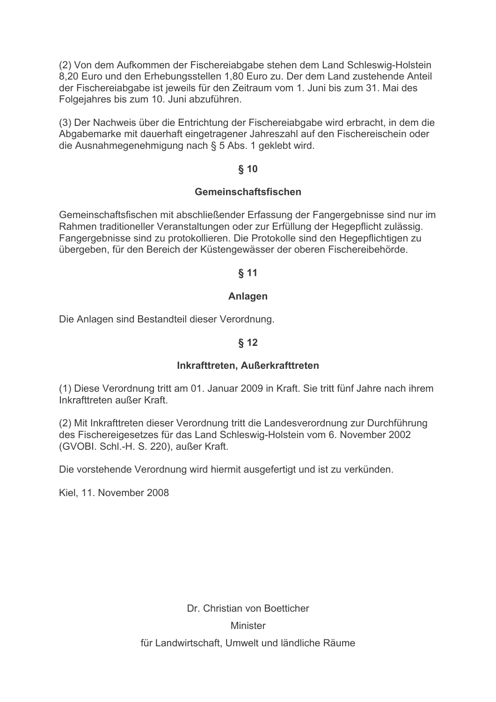(2) Von dem Aufkommen der Fischereiabgabe stehen dem Land Schleswig-Holstein 8,20 Euro und den Erhebungsstellen 1,80 Euro zu. Der dem Land zustehende Anteil der Fischereiabgabe ist jeweils für den Zeitraum vom 1. Juni bis zum 31. Mai des Folgeiahres bis zum 10. Juni abzuführen.

(3) Der Nachweis über die Entrichtung der Fischereiabgabe wird erbracht, in dem die Abgabemarke mit dauerhaft eingetragener Jahreszahl auf den Fischereischein oder die Ausnahmegenehmigung nach § 5 Abs. 1 geklebt wird.

## $§$  10

#### Gemeinschaftsfischen

Gemeinschaftsfischen mit abschließender Erfassung der Fangergebnisse sind nur im Rahmen traditioneller Veranstaltungen oder zur Erfüllung der Hegepflicht zulässig. Fangergebnisse sind zu protokollieren. Die Protokolle sind den Hegepflichtigen zu übergeben, für den Bereich der Küstengewässer der oberen Fischereibehörde.

## $$11$

#### Anlagen

Die Anlagen sind Bestandteil dieser Verordnung.

## $$12$

#### Inkrafttreten. Außerkrafttreten

(1) Diese Verordnung tritt am 01. Januar 2009 in Kraft. Sie tritt fünf Jahre nach ihrem Inkrafttreten außer Kraft

(2) Mit Inkrafttreten dieser Verordnung tritt die Landesverordnung zur Durchführung des Fischereigesetzes für das Land Schleswig-Holstein vom 6. November 2002 (GVOBI. Schl.-H. S. 220), außer Kraft.

Die vorstehende Verordnung wird hiermit ausgefertigt und ist zu verkünden.

Kiel, 11. November 2008

Dr. Christian von Boetticher **Minister** für Landwirtschaft, Umwelt und ländliche Räume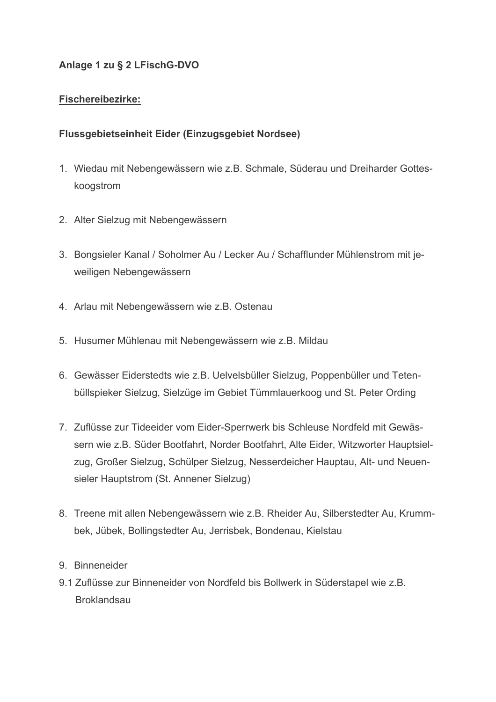# Anlage 1 zu § 2 LFischG-DVO

# **Fischereibezirke:**

# Flussgebietseinheit Eider (Einzugsgebiet Nordsee)

- 1. Wiedau mit Nebengewässern wie z.B. Schmale, Süderau und Dreiharder Gotteskoogstrom
- 2. Alter Sielzug mit Nebengewässern
- 3. Bongsieler Kanal / Soholmer Au / Lecker Au / Schafflunder Mühlenstrom mit jeweiligen Nebengewässern
- 4. Arlau mit Nebengewässern wie z.B. Ostenau
- 5. Husumer Mühlenau mit Nebengewässern wie z.B. Mildau
- 6. Gewässer Eiderstedts wie z.B. Uelvelsbüller Sielzug, Poppenbüller und Tetenbüllspieker Sielzug, Sielzüge im Gebiet Tümmlauerkoog und St. Peter Ording
- 7. Zuflüsse zur Tideeider vom Eider-Sperrwerk bis Schleuse Nordfeld mit Gewässern wie z.B. Süder Bootfahrt, Norder Bootfahrt, Alte Eider, Witzworter Hauptsielzug, Großer Sielzug, Schülper Sielzug, Nesserdeicher Hauptau, Alt- und Neuensieler Hauptstrom (St. Annener Sielzug)
- 8. Treene mit allen Nebengewässern wie z.B. Rheider Au, Silberstedter Au, Krummbek, Jübek, Bollingstedter Au, Jerrisbek, Bondenau, Kielstau
- 9. Binneneider
- 9.1 Zuflüsse zur Binneneider von Nordfeld bis Bollwerk in Süderstapel wie z.B. **Broklandsau**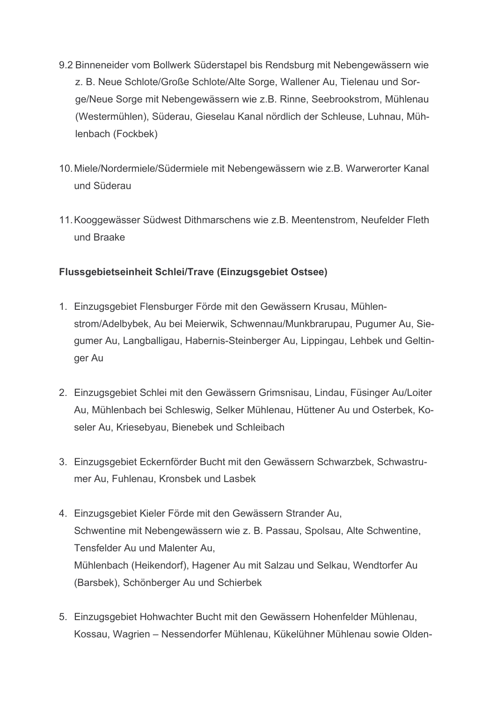- 9.2 Binneneider vom Bollwerk Süderstapel bis Rendsburg mit Nebengewässern wie z. B. Neue Schlote/Große Schlote/Alte Sorge, Wallener Au, Tielenau und Sorge/Neue Sorge mit Nebengewässern wie z.B. Rinne, Seebrookstrom, Mühlenau (Westermühlen), Süderau, Gieselau Kanal nördlich der Schleuse, Luhnau, Mühlenbach (Fockbek)
- 10. Miele/Nordermiele/Südermiele mit Nebengewässern wie z.B. Warwerorter Kanal und Süderau
- 11. Kooggewässer Südwest Dithmarschens wie z.B. Meentenstrom, Neufelder Fleth und Braake

# Flussgebietseinheit Schlei/Trave (Einzugsgebiet Ostsee)

- 1. Einzugsgebiet Flensburger Förde mit den Gewässern Krusau, Mühlenstrom/Adelbybek, Au bei Meierwik, Schwennau/Munkbrarupau, Pugumer Au, Siegumer Au, Langballigau, Habernis-Steinberger Au, Lippingau, Lehbek und Geltinger Au
- 2. Einzugsgebiet Schlei mit den Gewässern Grimsnisau, Lindau, Füsinger Au/Loiter Au, Mühlenbach bei Schleswig, Selker Mühlenau, Hüttener Au und Osterbek, Koseler Au, Kriesebyau, Bienebek und Schleibach
- 3. Einzugsgebiet Eckernförder Bucht mit den Gewässern Schwarzbek, Schwastrumer Au. Fuhlenau. Kronsbek und Lasbek
- 4. Einzugsgebiet Kieler Förde mit den Gewässern Strander Au, Schwentine mit Nebengewässern wie z. B. Passau, Spolsau, Alte Schwentine, Tensfelder Au und Malenter Au. Mühlenbach (Heikendorf), Hagener Au mit Salzau und Selkau, Wendtorfer Au (Barsbek). Schönberger Au und Schierbek
- 5. Einzugsgebiet Hohwachter Bucht mit den Gewässern Hohenfelder Mühlenau, Kossau. Wagrien – Nessendorfer Mühlenau. Kükelühner Mühlenau sowie Olden-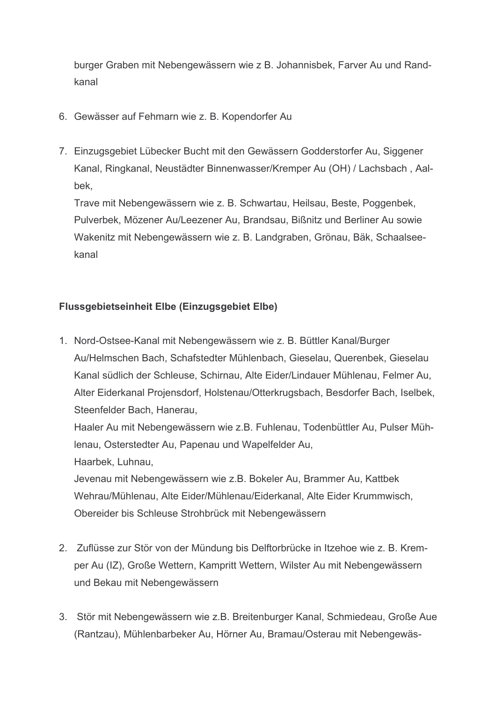burger Graben mit Nebengewässern wie z B. Johannisbek, Farver Au und Randkanal

- 6. Gewässer auf Fehmarn wie z. B. Kopendorfer Au
- 7. Einzugsgebiet Lübecker Bucht mit den Gewässern Godderstorfer Au. Siggener Kanal, Ringkanal, Neustädter Binnenwasser/Kremper Au (OH) / Lachsbach, Aalbek.

Trave mit Nebengewässern wie z. B. Schwartau, Heilsau, Beste, Poggenbek, Pulverbek, Mözener Au/Leezener Au, Brandsau, Bißnitz und Berliner Au sowie Wakenitz mit Nebengewässern wie z. B. Landgraben, Grönau, Bäk, Schaalseekanal

# Flussgebietseinheit Elbe (Einzugsgebiet Elbe)

1. Nord-Ostsee-Kanal mit Nebengewässern wie z. B. Büttler Kanal/Burger Au/Helmschen Bach, Schafstedter Mühlenbach, Gieselau, Querenbek, Gieselau Kanal südlich der Schleuse, Schirnau, Alte Eider/Lindauer Mühlenau, Felmer Au, Alter Eiderkanal Projensdorf, Holstenau/Otterkrugsbach, Besdorfer Bach, Iselbek, Steenfelder Bach, Hanerau.

Haaler Au mit Nebengewässern wie z.B. Fuhlenau, Todenbüttler Au, Pulser Müh-Ienau, Osterstedter Au, Papenau und Wapelfelder Au, Haarbek. Luhnau.

Jevenau mit Nebengewässern wie z.B. Bokeler Au, Brammer Au, Kattbek Wehrau/Mühlenau, Alte Eider/Mühlenau/Eiderkanal, Alte Eider Krummwisch. Obereider bis Schleuse Strohbrück mit Nebengewässern

- 2. Zuflüsse zur Stör von der Mündung bis Delftorbrücke in Itzehoe wie z. B. Kremper Au (IZ), Große Wettern, Kampritt Wettern, Wilster Au mit Nebengewässern und Bekau mit Nebengewässern
- 3. Stör mit Nebengewässern wie z.B. Breitenburger Kanal, Schmiedeau, Große Aue (Rantzau). Mühlenbarbeker Au. Hörner Au. Bramau/Osterau mit Nebengewäs-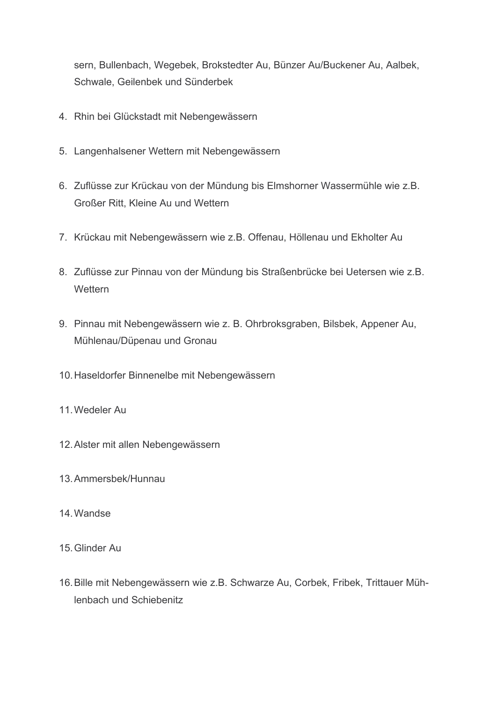sern, Bullenbach, Wegebek, Brokstedter Au, Bünzer Au/Buckener Au, Aalbek, Schwale, Geilenbek und Sünderbek

- 4. Rhin bei Glückstadt mit Nebengewässern
- 5. Langenhalsener Wettern mit Nebengewässern
- 6. Zuflüsse zur Krückau von der Mündung bis Elmshorner Wassermühle wie z.B. Großer Ritt, Kleine Au und Wettern
- 7. Krückau mit Nebengewässern wie z.B. Offenau, Höllenau und Ekholter Au
- 8. Zuflüsse zur Pinnau von der Mündung bis Straßenbrücke bei Uetersen wie z.B. Wettern
- 9. Pinnau mit Nebengewässern wie z. B. Ohrbroksgraben, Bilsbek, Appener Au, Mühlenau/Düpenau und Gronau
- 10. Haseldorfer Binnenelbe mit Nebengewässern
- 11 Wedeler Au
- 12. Alster mit allen Nebengewässern
- 13. Ammersbek/Hunnau
- 14. Wandse
- 15 Glinder Au
- 16. Bille mit Nebengewässern wie z.B. Schwarze Au, Corbek, Fribek, Trittauer Mühlenbach und Schiebenitz